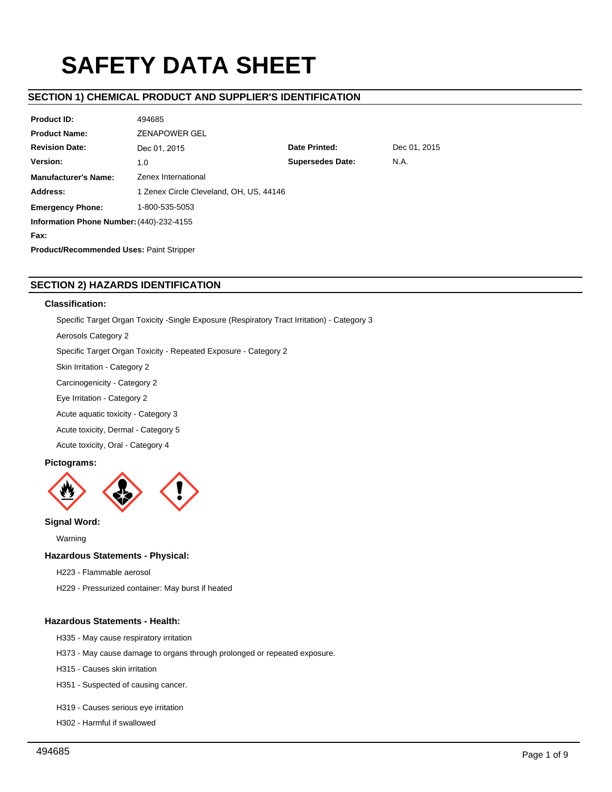# **SAFETY DATA SHEET**

# **SECTION 1) CHEMICAL PRODUCT AND SUPPLIER'S IDENTIFICATION**

| <b>Product ID:</b>                              | 494685                                  |                         |              |  |  |
|-------------------------------------------------|-----------------------------------------|-------------------------|--------------|--|--|
| <b>Product Name:</b>                            | <b>ZENAPOWER GEL</b>                    |                         |              |  |  |
| <b>Revision Date:</b>                           | Dec 01, 2015                            | Date Printed:           | Dec 01, 2015 |  |  |
| Version:                                        | 1.0                                     | <b>Supersedes Date:</b> | N.A.         |  |  |
| <b>Manufacturer's Name:</b>                     | Zenex International                     |                         |              |  |  |
| Address:                                        | 1 Zenex Circle Cleveland, OH, US, 44146 |                         |              |  |  |
| 1-800-535-5053<br><b>Emergency Phone:</b>       |                                         |                         |              |  |  |
| Information Phone Number: (440)-232-4155        |                                         |                         |              |  |  |
| Fax:                                            |                                         |                         |              |  |  |
| <b>Product/Recommended Uses: Paint Stripper</b> |                                         |                         |              |  |  |

# **SECTION 2) HAZARDS IDENTIFICATION**

### **Classification:**

Specific Target Organ Toxicity -Single Exposure (Respiratory Tract Irritation) - Category 3

Aerosols Category 2

Specific Target Organ Toxicity - Repeated Exposure - Category 2

Skin Irritation - Category 2

Carcinogenicity - Category 2

Eye Irritation - Category 2

Acute aquatic toxicity - Category 3

Acute toxicity, Dermal - Category 5

Acute toxicity, Oral - Category 4

# **Pictograms:**



# **Signal Word:**

Warning

# **Hazardous Statements - Physical:**

H223 - Flammable aerosol

H229 - Pressurized container: May burst if heated

# **Hazardous Statements - Health:**

H335 - May cause respiratory irritation

H373 - May cause damage to organs through prolonged or repeated exposure.

H315 - Causes skin irritation

H351 - Suspected of causing cancer.

H319 - Causes serious eye irritation

H302 - Harmful if swallowed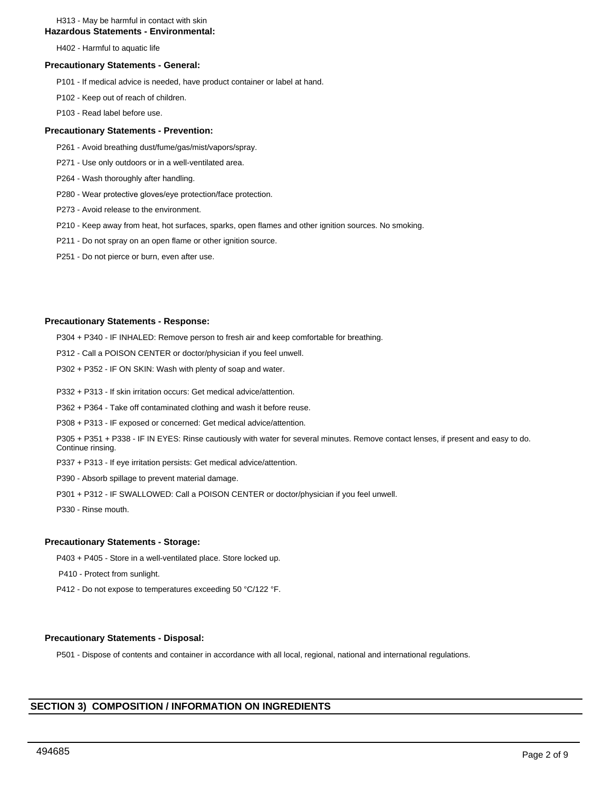### H313 - May be harmful in contact with skin

### **Hazardous Statements - Environmental:**

H402 - Harmful to aquatic life

### **Precautionary Statements - General:**

- P101 If medical advice is needed, have product container or label at hand.
- P102 Keep out of reach of children.
- P103 Read label before use.

### **Precautionary Statements - Prevention:**

- P261 Avoid breathing dust/fume/gas/mist/vapors/spray.
- P271 Use only outdoors or in a well-ventilated area.
- P264 Wash thoroughly after handling.
- P280 Wear protective gloves/eye protection/face protection.
- P273 Avoid release to the environment.
- P210 Keep away from heat, hot surfaces, sparks, open flames and other ignition sources. No smoking.
- P211 Do not spray on an open flame or other ignition source.
- P251 Do not pierce or burn, even after use.

### **Precautionary Statements - Response:**

P304 + P340 - IF INHALED: Remove person to fresh air and keep comfortable for breathing.

- P312 Call a POISON CENTER or doctor/physician if you feel unwell.
- P302 + P352 IF ON SKIN: Wash with plenty of soap and water.
- P332 + P313 If skin irritation occurs: Get medical advice/attention.
- P362 + P364 Take off contaminated clothing and wash it before reuse.
- P308 + P313 IF exposed or concerned: Get medical advice/attention.

P305 + P351 + P338 - IF IN EYES: Rinse cautiously with water for several minutes. Remove contact lenses, if present and easy to do. Continue rinsing.

- P337 + P313 If eye irritation persists: Get medical advice/attention.
- P390 Absorb spillage to prevent material damage.
- P301 + P312 IF SWALLOWED: Call a POISON CENTER or doctor/physician if you feel unwell.

P330 - Rinse mouth.

### **Precautionary Statements - Storage:**

- P403 + P405 Store in a well-ventilated place. Store locked up.
- P410 Protect from sunlight.
- P412 Do not expose to temperatures exceeding 50 °C/122 °F.

### **Precautionary Statements - Disposal:**

P501 - Dispose of contents and container in accordance with all local, regional, national and international regulations.

# **SECTION 3) COMPOSITION / INFORMATION ON INGREDIENTS**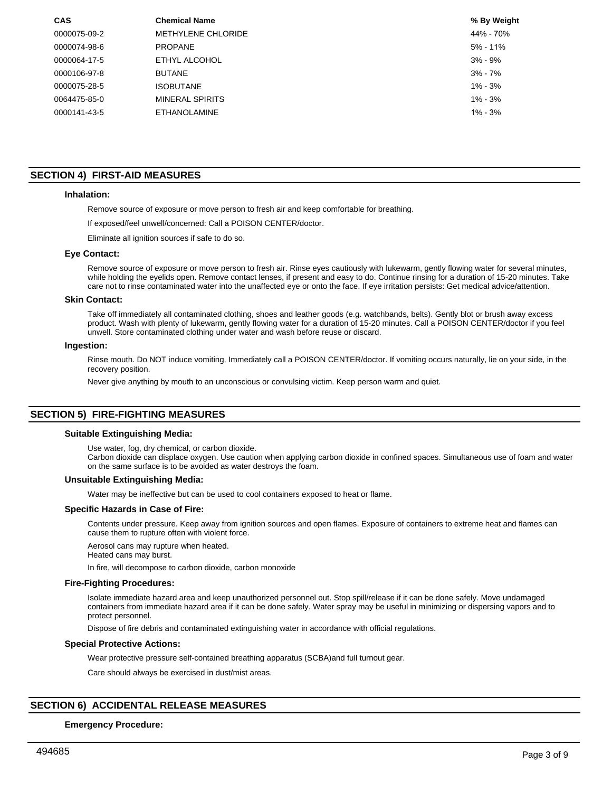| <b>CAS</b>   | <b>Chemical Name</b>      | % By Weight  |
|--------------|---------------------------|--------------|
| 0000075-09-2 | <b>METHYLENE CHLORIDE</b> | 44% - 70%    |
| 0000074-98-6 | <b>PROPANE</b>            | $5\% - 11\%$ |
| 0000064-17-5 | ETHYL ALCOHOL             | $3\% - 9\%$  |
| 0000106-97-8 | <b>BUTANE</b>             | $3\% - 7\%$  |
| 0000075-28-5 | ISOBUTANE                 | $1\% - 3\%$  |
| 0064475-85-0 | MINERAL SPIRITS           | $1\% - 3\%$  |
| 0000141-43-5 | ETHANOLAMINE              | $1\% - 3\%$  |

# **SECTION 4) FIRST-AID MEASURES**

### **Inhalation:**

Remove source of exposure or move person to fresh air and keep comfortable for breathing.

If exposed/feel unwell/concerned: Call a POISON CENTER/doctor.

Eliminate all ignition sources if safe to do so.

### **Eye Contact:**

Remove source of exposure or move person to fresh air. Rinse eyes cautiously with lukewarm, gently flowing water for several minutes, while holding the eyelids open. Remove contact lenses, if present and easy to do. Continue rinsing for a duration of 15-20 minutes. Take care not to rinse contaminated water into the unaffected eye or onto the face. If eye irritation persists: Get medical advice/attention.

### **Skin Contact:**

Take off immediately all contaminated clothing, shoes and leather goods (e.g. watchbands, belts). Gently blot or brush away excess product. Wash with plenty of lukewarm, gently flowing water for a duration of 15-20 minutes. Call a POISON CENTER/doctor if you feel unwell. Store contaminated clothing under water and wash before reuse or discard.

### **Ingestion:**

Rinse mouth. Do NOT induce vomiting. Immediately call a POISON CENTER/doctor. If vomiting occurs naturally, lie on your side, in the recovery position.

Never give anything by mouth to an unconscious or convulsing victim. Keep person warm and quiet.

### **SECTION 5) FIRE-FIGHTING MEASURES**

### **Suitable Extinguishing Media:**

Use water, fog, dry chemical, or carbon dioxide.

Carbon dioxide can displace oxygen. Use caution when applying carbon dioxide in confined spaces. Simultaneous use of foam and water on the same surface is to be avoided as water destroys the foam.

### **Unsuitable Extinguishing Media:**

Water may be ineffective but can be used to cool containers exposed to heat or flame.

### **Specific Hazards in Case of Fire:**

Contents under pressure. Keep away from ignition sources and open flames. Exposure of containers to extreme heat and flames can cause them to rupture often with violent force.

Aerosol cans may rupture when heated.

Heated cans may burst.

In fire, will decompose to carbon dioxide, carbon monoxide

### **Fire-Fighting Procedures:**

Isolate immediate hazard area and keep unauthorized personnel out. Stop spill/release if it can be done safely. Move undamaged containers from immediate hazard area if it can be done safely. Water spray may be useful in minimizing or dispersing vapors and to protect personnel.

Dispose of fire debris and contaminated extinguishing water in accordance with official regulations.

### **Special Protective Actions:**

Wear protective pressure self-contained breathing apparatus (SCBA)and full turnout gear.

Care should always be exercised in dust/mist areas.

# **SECTION 6) ACCIDENTAL RELEASE MEASURES**

### **Emergency Procedure:**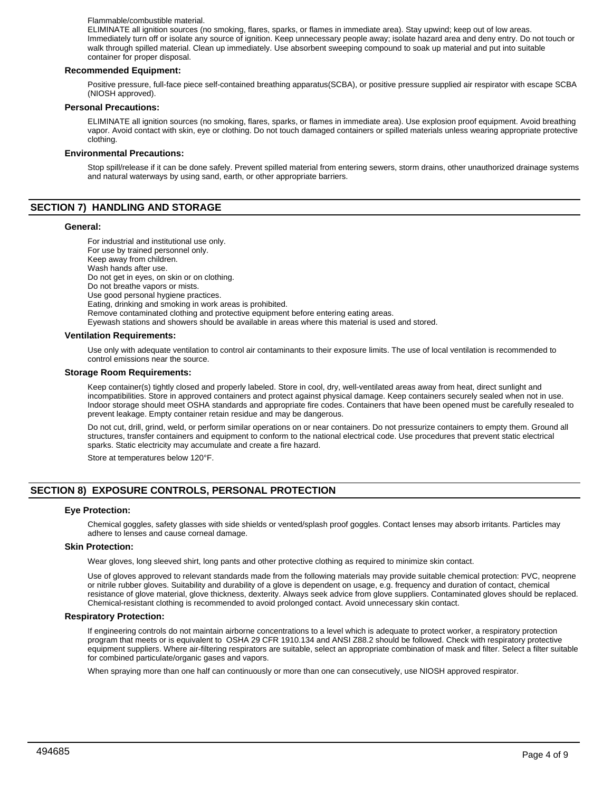### Flammable/combustible material.

ELIMINATE all ignition sources (no smoking, flares, sparks, or flames in immediate area). Stay upwind; keep out of low areas. Immediately turn off or isolate any source of ignition. Keep unnecessary people away; isolate hazard area and deny entry. Do not touch or walk through spilled material. Clean up immediately. Use absorbent sweeping compound to soak up material and put into suitable container for proper disposal.

### **Recommended Equipment:**

Positive pressure, full-face piece self-contained breathing apparatus(SCBA), or positive pressure supplied air respirator with escape SCBA (NIOSH approved).

### **Personal Precautions:**

ELIMINATE all ignition sources (no smoking, flares, sparks, or flames in immediate area). Use explosion proof equipment. Avoid breathing vapor. Avoid contact with skin, eye or clothing. Do not touch damaged containers or spilled materials unless wearing appropriate protective clothing.

### **Environmental Precautions:**

Stop spill/release if it can be done safely. Prevent spilled material from entering sewers, storm drains, other unauthorized drainage systems and natural waterways by using sand, earth, or other appropriate barriers.

# **SECTION 7) HANDLING AND STORAGE**

### **General:**

For industrial and institutional use only. For use by trained personnel only. Keep away from children. Wash hands after use. Do not get in eyes, on skin or on clothing. Do not breathe vapors or mists. Use good personal hygiene practices. Eating, drinking and smoking in work areas is prohibited. Remove contaminated clothing and protective equipment before entering eating areas. Eyewash stations and showers should be available in areas where this material is used and stored.

### **Ventilation Requirements:**

Use only with adequate ventilation to control air contaminants to their exposure limits. The use of local ventilation is recommended to control emissions near the source.

### **Storage Room Requirements:**

Keep container(s) tightly closed and properly labeled. Store in cool, dry, well-ventilated areas away from heat, direct sunlight and incompatibilities. Store in approved containers and protect against physical damage. Keep containers securely sealed when not in use. Indoor storage should meet OSHA standards and appropriate fire codes. Containers that have been opened must be carefully resealed to prevent leakage. Empty container retain residue and may be dangerous.

Do not cut, drill, grind, weld, or perform similar operations on or near containers. Do not pressurize containers to empty them. Ground all structures, transfer containers and equipment to conform to the national electrical code. Use procedures that prevent static electrical sparks. Static electricity may accumulate and create a fire hazard.

Store at temperatures below 120°F.

# **SECTION 8) EXPOSURE CONTROLS, PERSONAL PROTECTION**

### **Eye Protection:**

Chemical goggles, safety glasses with side shields or vented/splash proof goggles. Contact lenses may absorb irritants. Particles may adhere to lenses and cause corneal damage.

### **Skin Protection:**

Wear gloves, long sleeved shirt, long pants and other protective clothing as required to minimize skin contact.

Use of gloves approved to relevant standards made from the following materials may provide suitable chemical protection: PVC, neoprene or nitrile rubber gloves. Suitability and durability of a glove is dependent on usage, e.g. frequency and duration of contact, chemical resistance of glove material, glove thickness, dexterity. Always seek advice from glove suppliers. Contaminated gloves should be replaced. Chemical-resistant clothing is recommended to avoid prolonged contact. Avoid unnecessary skin contact.

### **Respiratory Protection:**

If engineering controls do not maintain airborne concentrations to a level which is adequate to protect worker, a respiratory protection program that meets or is equivalent to OSHA 29 CFR 1910.134 and ANSI Z88.2 should be followed. Check with respiratory protective equipment suppliers. Where air-filtering respirators are suitable, select an appropriate combination of mask and filter. Select a filter suitable for combined particulate/organic gases and vapors.

When spraying more than one half can continuously or more than one can consecutively, use NIOSH approved respirator.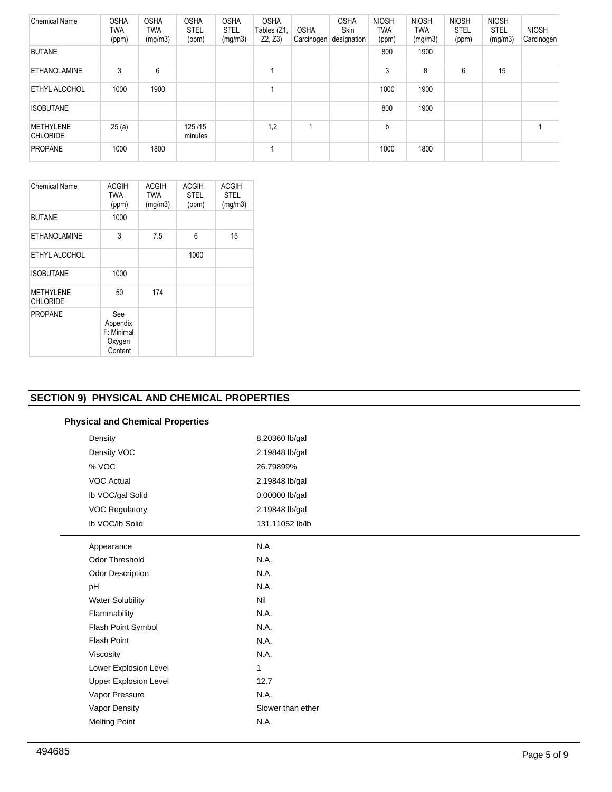| <b>Chemical Name</b>                | <b>OSHA</b><br>TWA<br>(ppm) | <b>OSHA</b><br><b>TWA</b><br>(mg/m3) | <b>OSHA</b><br><b>STEL</b><br>(ppm) | <b>OSHA</b><br><b>STEL</b><br>(mg/m3) | <b>OSHA</b><br>Tables (Z1,<br>Z2, Z3 | <b>OSHA</b><br>Carcinogen | <b>OSHA</b><br><b>Skin</b><br>designation | <b>NIOSH</b><br><b>TWA</b><br>(ppm) | <b>NIOSH</b><br>TWA<br>(mg/m3) | <b>NIOSH</b><br><b>STEL</b><br>(ppm) | <b>NIOSH</b><br><b>STEL</b><br>(mg/m3) | <b>NIOSH</b><br>Carcinogen |
|-------------------------------------|-----------------------------|--------------------------------------|-------------------------------------|---------------------------------------|--------------------------------------|---------------------------|-------------------------------------------|-------------------------------------|--------------------------------|--------------------------------------|----------------------------------------|----------------------------|
| <b>BUTANE</b>                       |                             |                                      |                                     |                                       |                                      |                           |                                           | 800                                 | 1900                           |                                      |                                        |                            |
| <b>ETHANOLAMINE</b>                 | 3                           | 6                                    |                                     |                                       |                                      |                           |                                           | 3                                   | 8                              | 6                                    | 15                                     |                            |
| <b>ETHYL ALCOHOL</b>                | 1000                        | 1900                                 |                                     |                                       |                                      |                           |                                           | 1000                                | 1900                           |                                      |                                        |                            |
| <b>ISOBUTANE</b>                    |                             |                                      |                                     |                                       |                                      |                           |                                           | 800                                 | 1900                           |                                      |                                        |                            |
| <b>METHYLENE</b><br><b>CHLORIDE</b> | 25(a)                       |                                      | 125/15<br>minutes                   |                                       | 1,2                                  |                           |                                           | b                                   |                                |                                      |                                        |                            |
| <b>PROPANE</b>                      | 1000                        | 1800                                 |                                     |                                       |                                      |                           |                                           | 1000                                | 1800                           |                                      |                                        |                            |

| Chemical Name                       | <b>ACGIH</b><br><b>TWA</b><br>(ppm)                | <b>ACGIH</b><br><b>TWA</b><br>(mg/m3) | <b>ACGIH</b><br><b>STEL</b><br>(ppm) | <b>ACGIH</b><br><b>STEL</b><br>(mg/m3) |
|-------------------------------------|----------------------------------------------------|---------------------------------------|--------------------------------------|----------------------------------------|
| <b>BUTANE</b>                       | 1000                                               |                                       |                                      |                                        |
| <b>ETHANOLAMINE</b>                 | 3                                                  | 7.5                                   | 6                                    | 15                                     |
| ETHYL ALCOHOL                       |                                                    |                                       | 1000                                 |                                        |
| <b>ISOBUTANE</b>                    | 1000                                               |                                       |                                      |                                        |
| <b>METHYLENE</b><br><b>CHLORIDE</b> | 50                                                 | 174                                   |                                      |                                        |
| <b>PROPANE</b>                      | See<br>Appendix<br>F: Minimal<br>Oxygen<br>Content |                                       |                                      |                                        |

# **SECTION 9) PHYSICAL AND CHEMICAL PROPERTIES**

# **Physical and Chemical Properties**

|       | Density                      | 8.20360 lb/gal    |
|-------|------------------------------|-------------------|
|       | Density VOC                  | 2.19848 lb/gal    |
| % VOC |                              | 26.79899%         |
|       | <b>VOC Actual</b>            | 2.19848 lb/gal    |
|       | Ib VOC/gal Solid             | 0.00000 lb/gal    |
|       | <b>VOC Regulatory</b>        | 2.19848 lb/gal    |
|       | Ib VOC/Ib Solid              | 131.11052 lb/lb   |
|       | Appearance                   | N.A.              |
|       | <b>Odor Threshold</b>        | N.A.              |
|       | Odor Description             | N.A.              |
|       | pH                           | N.A.              |
|       | <b>Water Solubility</b>      | Nil               |
|       | Flammability                 | N.A.              |
|       | Flash Point Symbol           | N.A.              |
|       | <b>Flash Point</b>           | N.A.              |
|       | Viscosity                    | N.A.              |
|       | Lower Explosion Level        | 1                 |
|       | <b>Upper Explosion Level</b> | 12.7              |
|       | Vapor Pressure               | N.A.              |
|       | Vapor Density                | Slower than ether |
|       | <b>Melting Point</b>         | N.A.              |

L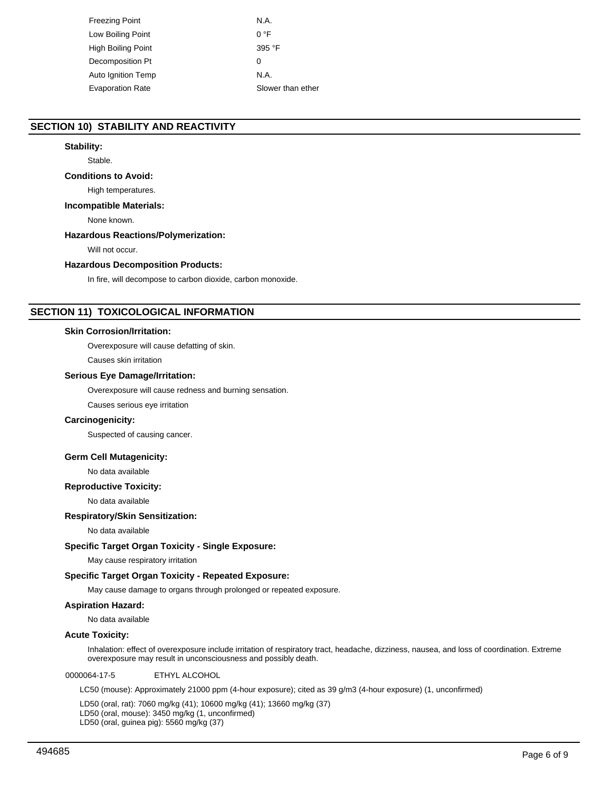| Freezing Point          | N.A.              |
|-------------------------|-------------------|
| Low Boiling Point       | 0 °F              |
| High Boiling Point      | 395 °F            |
| Decomposition Pt        | 0                 |
| Auto Ignition Temp      | N.A.              |
| <b>Evaporation Rate</b> | Slower than ether |
|                         |                   |

# **SECTION 10) STABILITY AND REACTIVITY**

# **Stability:**

Stable.

### **Conditions to Avoid:**

High temperatures.

### **Incompatible Materials:**

None known.

# **Hazardous Reactions/Polymerization:**

Will not occur.

### **Hazardous Decomposition Products:**

In fire, will decompose to carbon dioxide, carbon monoxide.

# **SECTION 11) TOXICOLOGICAL INFORMATION**

### **Skin Corrosion/Irritation:**

Overexposure will cause defatting of skin.

Causes skin irritation

### **Serious Eye Damage/Irritation:**

Overexposure will cause redness and burning sensation.

Causes serious eye irritation

### **Carcinogenicity:**

Suspected of causing cancer.

### **Germ Cell Mutagenicity:**

No data available

### **Reproductive Toxicity:**

No data available

### **Respiratory/Skin Sensitization:**

No data available

### **Specific Target Organ Toxicity - Single Exposure:**

May cause respiratory irritation

### **Specific Target Organ Toxicity - Repeated Exposure:**

May cause damage to organs through prolonged or repeated exposure.

# **Aspiration Hazard:**

No data available

### **Acute Toxicity:**

Inhalation: effect of overexposure include irritation of respiratory tract, headache, dizziness, nausea, and loss of coordination. Extreme overexposure may result in unconsciousness and possibly death.

0000064-17-5 ETHYL ALCOHOL

LC50 (mouse): Approximately 21000 ppm (4-hour exposure); cited as 39 g/m3 (4-hour exposure) (1, unconfirmed)

LD50 (oral, rat): 7060 mg/kg (41); 10600 mg/kg (41); 13660 mg/kg (37) LD50 (oral, mouse): 3450 mg/kg (1, unconfirmed) LD50 (oral, guinea pig): 5560 mg/kg (37)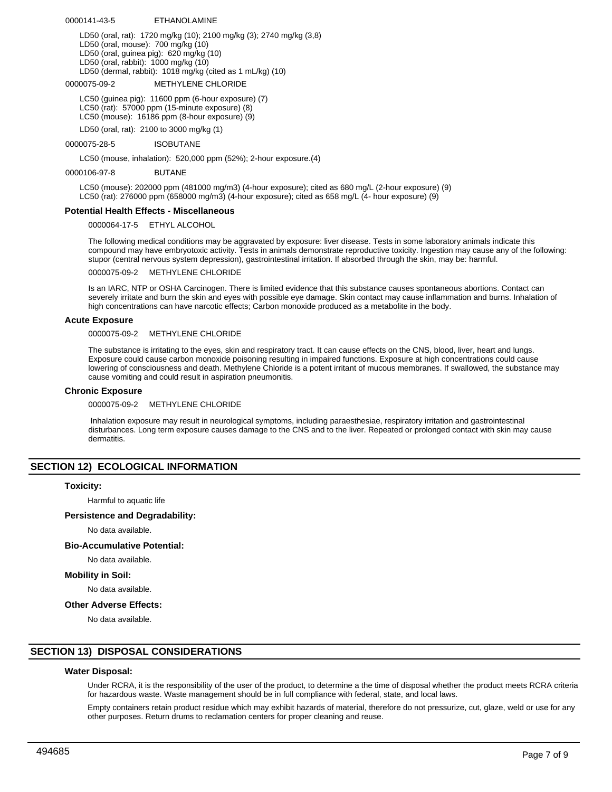0000141-43-5 ETHANOLAMINE

LD50 (oral, rat): 1720 mg/kg (10); 2100 mg/kg (3); 2740 mg/kg (3,8) LD50 (oral, mouse): 700 mg/kg (10) LD50 (oral, guinea pig): 620 mg/kg (10) LD50 (oral, rabbit): 1000 mg/kg (10) LD50 (dermal, rabbit): 1018 mg/kg (cited as 1 mL/kg) (10)

0000075-09-2 METHYLENE CHLORIDE

LC50 (guinea pig): 11600 ppm (6-hour exposure) (7) LC50 (rat): 57000 ppm (15-minute exposure) (8) LC50 (mouse): 16186 ppm (8-hour exposure) (9)

LD50 (oral, rat): 2100 to 3000 mg/kg (1)

0000075-28-5 ISOBUTANE

LC50 (mouse, inhalation): 520,000 ppm (52%); 2-hour exposure.(4)

0000106-97-8 BUTANE

LC50 (mouse): 202000 ppm (481000 mg/m3) (4-hour exposure); cited as 680 mg/L (2-hour exposure) (9) LC50 (rat): 276000 ppm (658000 mg/m3) (4-hour exposure); cited as 658 mg/L (4- hour exposure) (9)

### **Potential Health Effects - Miscellaneous**

0000064-17-5 ETHYL ALCOHOL

The following medical conditions may be aggravated by exposure: liver disease. Tests in some laboratory animals indicate this compound may have embryotoxic activity. Tests in animals demonstrate reproductive toxicity. Ingestion may cause any of the following: stupor (central nervous system depression), gastrointestinal irritation. If absorbed through the skin, may be: harmful.

0000075-09-2 METHYLENE CHLORIDE

Is an IARC, NTP or OSHA Carcinogen. There is limited evidence that this substance causes spontaneous abortions. Contact can severely irritate and burn the skin and eyes with possible eye damage. Skin contact may cause inflammation and burns. Inhalation of high concentrations can have narcotic effects; Carbon monoxide produced as a metabolite in the body.

### **Acute Exposure**

0000075-09-2 METHYLENE CHLORIDE

The substance is irritating to the eyes, skin and respiratory tract. It can cause effects on the CNS, blood, liver, heart and lungs. Exposure could cause carbon monoxide poisoning resulting in impaired functions. Exposure at high concentrations could cause lowering of consciousness and death. Methylene Chloride is a potent irritant of mucous membranes. If swallowed, the substance may cause vomiting and could result in aspiration pneumonitis.

### **Chronic Exposure**

0000075-09-2 METHYLENE CHLORIDE

 Inhalation exposure may result in neurological symptoms, including paraesthesiae, respiratory irritation and gastrointestinal disturbances. Long term exposure causes damage to the CNS and to the liver. Repeated or prolonged contact with skin may cause dermatitis.

### **SECTION 12) ECOLOGICAL INFORMATION**

### **Toxicity:**

Harmful to aquatic life

### **Persistence and Degradability:**

No data available.

### **Bio-Accumulative Potential:**

No data available.

**Mobility in Soil:**

No data available.

### **Other Adverse Effects:**

No data available.

### **SECTION 13) DISPOSAL CONSIDERATIONS**

### **Water Disposal:**

Under RCRA, it is the responsibility of the user of the product, to determine a the time of disposal whether the product meets RCRA criteria for hazardous waste. Waste management should be in full compliance with federal, state, and local laws.

Empty containers retain product residue which may exhibit hazards of material, therefore do not pressurize, cut, glaze, weld or use for any other purposes. Return drums to reclamation centers for proper cleaning and reuse.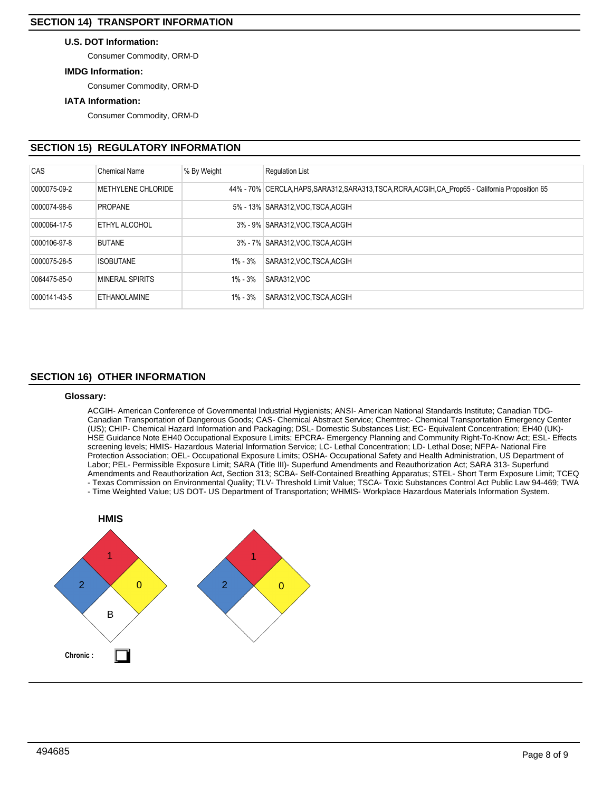# **U.S. DOT Information:**

Consumer Commodity, ORM-D

# **IMDG Information:**

Consumer Commodity, ORM-D

# **IATA Information:**

Consumer Commodity, ORM-D

# **SECTION 15) REGULATORY INFORMATION**

| CAS          | <b>Chemical Name</b> | % By Weight | <b>Regulation List</b>                                                                             |
|--------------|----------------------|-------------|----------------------------------------------------------------------------------------------------|
| 0000075-09-2 | METHYLENE CHLORIDE   |             | 44% - 70% CERCLA, HAPS, SARA312, SARA313, TSCA, RCRA, ACGIH, CA_Prop65 - California Proposition 65 |
| 0000074-98-6 | <b>PROPANE</b>       |             | 5% - 13% SARA312.VOC TSCA ACGIH                                                                    |
| 0000064-17-5 | ETHYL ALCOHOL        |             | 3% - 9% SARA312, VOC TSCA, ACGIH                                                                   |
| 0000106-97-8 | <b>BUTANE</b>        |             | 3% - 7% SARA312.VOC.TSCA.ACGIH                                                                     |
| 0000075-28-5 | <b>ISOBUTANE</b>     | 1% - 3%     | SARA312, VOC, TSCA, ACGIH                                                                          |
| 0064475-85-0 | MINERAL SPIRITS      | 1% - 3%     | SARA312.VOC                                                                                        |
| 0000141-43-5 | <b>ETHANOLAMINE</b>  | 1% - 3%     | SARA312 VOC TSCA ACGIH                                                                             |

# **SECTION 16) OTHER INFORMATION**

### **Glossary:**

ACGIH- American Conference of Governmental Industrial Hygienists; ANSI- American National Standards Institute; Canadian TDG-Canadian Transportation of Dangerous Goods; CAS- Chemical Abstract Service; Chemtrec- Chemical Transportation Emergency Center (US); CHIP- Chemical Hazard Information and Packaging; DSL- Domestic Substances List; EC- Equivalent Concentration; EH40 (UK)- HSE Guidance Note EH40 Occupational Exposure Limits; EPCRA- Emergency Planning and Community Right-To-Know Act; ESL- Effects screening levels; HMIS- Hazardous Material Information Service; LC- Lethal Concentration; LD- Lethal Dose; NFPA- National Fire Protection Association; OEL- Occupational Exposure Limits; OSHA- Occupational Safety and Health Administration, US Department of Labor; PEL- Permissible Exposure Limit; SARA (Title III)- Superfund Amendments and Reauthorization Act; SARA 313- Superfund Amendments and Reauthorization Act, Section 313; SCBA- Self-Contained Breathing Apparatus; STEL- Short Term Exposure Limit; TCEQ - Texas Commission on Environmental Quality; TLV- Threshold Limit Value; TSCA- Toxic Substances Control Act Public Law 94-469; TWA

- Time Weighted Value; US DOT- US Department of Transportation; WHMIS- Workplace Hazardous Materials Information System.